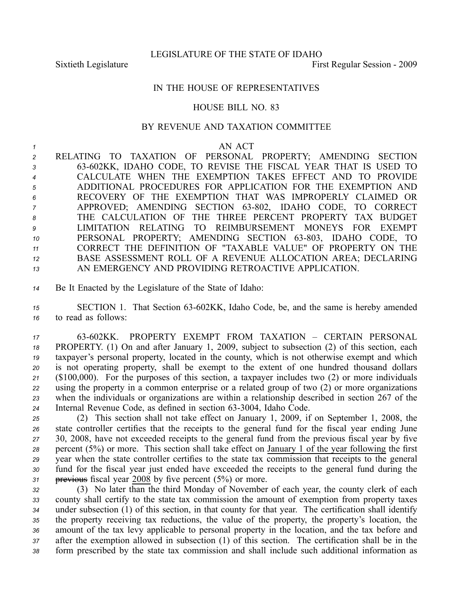LEGISLATURE OF THE STATE OF IDAHO

Sixtieth Legislature First Regular Session - 2009

## IN THE HOUSE OF REPRESENTATIVES

## HOUSE BILL NO. 83

## BY REVENUE AND TAXATION COMMITTEE

## *<sup>1</sup>* AN ACT

 RELATING TO TAXATION OF PERSONAL PROPERTY; AMENDING SECTION 63602KK, IDAHO CODE, TO REVISE THE FISCAL YEAR THAT IS USED TO CALCULATE WHEN THE EXEMPTION TAKES EFFECT AND TO PROVIDE ADDITIONAL PROCEDURES FOR APPLICATION FOR THE EXEMPTION AND RECOVERY OF THE EXEMPTION THAT WAS IMPROPERLY CLAIMED OR APPROVED; AMENDING SECTION 63-802, IDAHO CODE, TO CORRECT THE CALCULATION OF THE THREE PERCENT PROPERTY TAX BUDGET LIMITATION RELATING TO REIMBURSEMENT MONEYS FOR EXEMPT 10 PERSONAL PROPERTY; AMENDING SECTION 63-803, IDAHO CODE, TO CORRECT THE DEFINITION OF "TAXABLE VALUE" OF PROPERTY ON THE BASE ASSESSMENT ROLL OF A REVENUE ALLOCATION AREA; DECLARING AN EMERGENCY AND PROVIDING RETROACTIVE APPLICATION.

*<sup>14</sup>* Be It Enacted by the Legislature of the State of Idaho:

15 SECTION 1. That Section 63-602KK, Idaho Code, be, and the same is hereby amended *<sup>16</sup>* to read as follows:

 63602KK. PROPERTY EXEMPT FROM TAXATION – CERTAIN PERSONAL PROPERTY. (1) On and after January 1, 2009, subject to subsection (2) of this section, each taxpayer's personal property, located in the county, which is not otherwise exemp<sup>t</sup> and which is not operating property, shall be exemp<sup>t</sup> to the extent of one hundred thousand dollars (\$100,000). For the purposes of this section, <sup>a</sup> taxpayer includes two (2) or more individuals using the property in <sup>a</sup> common enterprise or <sup>a</sup> related group of two (2) or more organizations when the individuals or organizations are within <sup>a</sup> relationship described in section 267 of the 24 Internal Revenue Code, as defined in section 63-3004, Idaho Code.

 (2) This section shall not take effect on January 1, 2009, if on September 1, 2008, the state controller certifies that the receipts to the general fund for the fiscal year ending June 30, 2008, have not exceeded receipts to the general fund from the previous fiscal year by five percen<sup>t</sup> (5%) or more. This section shall take effect on January 1 of the year following the first year when the state controller certifies to the state tax commission that receipts to the general fund for the fiscal year just ended have exceeded the receipts to the general fund during the previous fiscal year 2008 by five percen<sup>t</sup> (5%) or more.

 (3) No later than the third Monday of November of each year, the county clerk of each county shall certify to the state tax commission the amount of exemption from property taxes under subsection (1) of this section, in that county for that year. The certification shall identify the property receiving tax reductions, the value of the property, the property's location, the amount of the tax levy applicable to personal property in the location, and the tax before and after the exemption allowed in subsection (1) of this section. The certification shall be in the form prescribed by the state tax commission and shall include such additional information as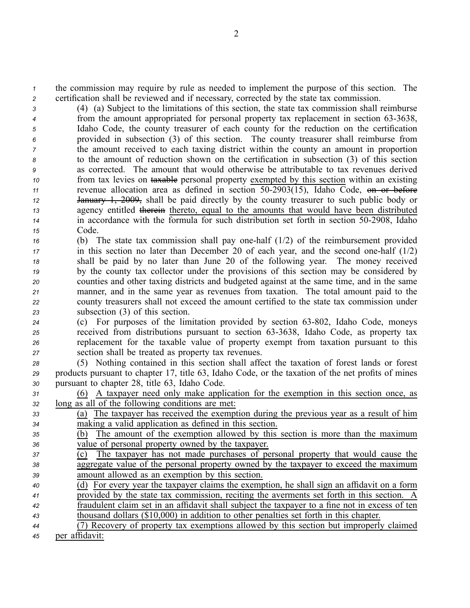*<sup>1</sup>* the commission may require by rule as needed to implement the purpose of this section. The *<sup>2</sup>* certification shall be reviewed and if necessary, corrected by the state tax commission.

 (4) (a) Subject to the limitations of this section, the state tax commission shall reimburse <sup>4</sup> from the amount appropriated for personal property tax replacement in section 63-3638, Idaho Code, the county treasurer of each county for the reduction on the certification provided in subsection (3) of this section. The county treasurer shall reimburse from the amount received to each taxing district within the county an amount in proportion to the amount of reduction shown on the certification in subsection (3) of this section as corrected. The amount that would otherwise be attributable to tax revenues derived from tax levies on taxable personal property exempted by this section within an existing revenue allocation area as defined in section 502903(15), Idaho Code, on or before January 1, 2009, shall be paid directly by the county treasurer to such public body or agency entitled therein thereto, equal to the amounts that would have been distributed <sup>14</sup> in accordance with the formula for such distribution set forth in section 50-2908, Idaho *<sup>15</sup>* Code.

 (b) The state tax commission shall pay one-half (1/2) of the reimbursement provided in this section no later than December 20 of each year, and the second one-half (1/2) shall be paid by no later than June 20 of the following year. The money received by the county tax collector under the provisions of this section may be considered by counties and other taxing districts and budgeted against at the same time, and in the same manner, and in the same year as revenues from taxation. The total amount paid to the county treasurers shall not exceed the amount certified to the state tax commission under subsection (3) of this section.

- 24 **24** (c) For purposes of the limitation provided by section 63-802, Idaho Code, moneys *25* received from distributions pursuant to section 63-3638, Idaho Code, as property tax *<sup>26</sup>* replacement for the taxable value of property exemp<sup>t</sup> from taxation pursuan<sup>t</sup> to this *<sup>27</sup>* section shall be treated as property tax revenues.
- *<sup>28</sup>* (5) Nothing contained in this section shall affect the taxation of forest lands or forest *<sup>29</sup>* products pursuan<sup>t</sup> to chapter 17, title 63, Idaho Code, or the taxation of the net profits of mines *<sup>30</sup>* pursuan<sup>t</sup> to chapter 28, title 63, Idaho Code.
- *<sup>31</sup>* (6) A taxpayer need only make application for the exemption in this section once, as *<sup>32</sup>* long as all of the following conditions are met:
- *<sup>33</sup>* (a) The taxpayer has received the exemption during the previous year as <sup>a</sup> result of him *<sup>34</sup>* making <sup>a</sup> valid application as defined in this section.
- *<sup>35</sup>* (b) The amount of the exemption allowed by this section is more than the maximum *<sup>36</sup>* value of personal property owned by the taxpayer.
- *<sup>37</sup>* (c) The taxpayer has not made purchases of personal property that would cause the *<sup>38</sup>* aggregate value of the personal property owned by the taxpayer to exceed the maximum *<sup>39</sup>* amount allowed as an exemption by this section.
- *<sup>40</sup>* (d) For every year the taxpayer claims the exemption, he shall sign an affidavit on <sup>a</sup> form *<sup>41</sup>* provided by the state tax commission, reciting the averments set forth in this section. A *<sup>42</sup>* fraudulent claim set in an affidavit shall subject the taxpayer to <sup>a</sup> fine not in excess of ten *<sup>43</sup>* thousand dollars (\$10,000) in addition to other penalties set forth in this chapter.
- *<sup>44</sup>* (7) Recovery of property tax exemptions allowed by this section but improperly claimed *<sup>45</sup>* per affidavit: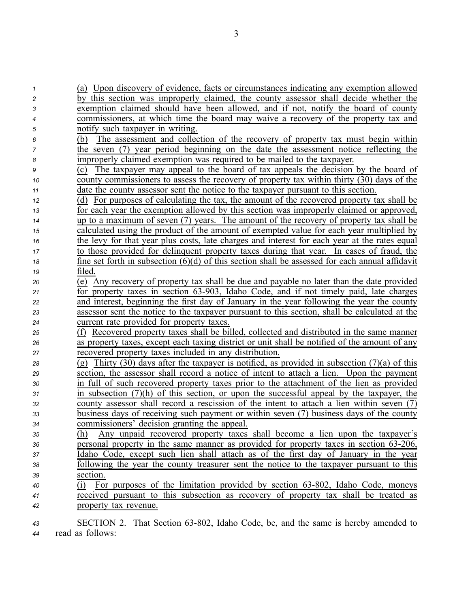| $\boldsymbol{\mathcal{L}}$ | (a) Upon discovery of evidence, facts or circumstances indicating any exemption allowed           |
|----------------------------|---------------------------------------------------------------------------------------------------|
| 2                          | by this section was improperly claimed, the county assessor shall decide whether the              |
| 3                          | exemption claimed should have been allowed, and if not, notify the board of county                |
| 4                          | commissioners, at which time the board may waive a recovery of the property tax and               |
| 5                          | notify such taxpayer in writing.                                                                  |
| 6                          | The assessment and collection of the recovery of property tax must begin within<br>(b)            |
| 7                          | the seven (7) year period beginning on the date the assessment notice reflecting the              |
| 8                          | improperly claimed exemption was required to be mailed to the taxpayer.                           |
| 9                          | The taxpayer may appeal to the board of tax appeals the decision by the board of<br>(c)           |
| 10                         | county commissioners to assess the recovery of property tax within thirty (30) days of the        |
| 11                         | date the county assessor sent the notice to the taxpayer pursuant to this section.                |
| 12                         | (d) For purposes of calculating the tax, the amount of the recovered property tax shall be        |
| 13                         | for each year the exemption allowed by this section was improperly claimed or approved,           |
| 14                         | up to a maximum of seven (7) years. The amount of the recovery of property tax shall be           |
| 15                         | calculated using the product of the amount of exempted value for each year multiplied by          |
| 16                         | the levy for that year plus costs, late charges and interest for each year at the rates equal     |
| 17                         | to those provided for delinquent property taxes during that year. In cases of fraud, the          |
| 18                         | fine set forth in subsection $(6)(d)$ of this section shall be assessed for each annual affidavit |
| 19                         | filed.                                                                                            |
| 20                         | (e) Any recovery of property tax shall be due and payable no later than the date provided         |
| 21                         | for property taxes in section 63-903, Idaho Code, and if not timely paid, late charges            |
| 22                         | and interest, beginning the first day of January in the year following the year the county        |
| 23                         | assessor sent the notice to the taxpayer pursuant to this section, shall be calculated at the     |
| 24                         | current rate provided for property taxes.                                                         |
| 25                         | (f) Recovered property taxes shall be billed, collected and distributed in the same manner        |
| 26                         | as property taxes, except each taxing district or unit shall be notified of the amount of any     |
| 27                         | recovered property taxes included in any distribution.                                            |
| 28                         | (g) Thirty (30) days after the taxpayer is notified, as provided in subsection $(7)(a)$ of this   |
| 29                         | section, the assessor shall record a notice of intent to attach a lien. Upon the payment          |
| 30                         | in full of such recovered property taxes prior to the attachment of the lien as provided          |
| 31                         | in subsection $(7)(h)$ of this section, or upon the successful appeal by the taxpayer, the        |
| 32                         | county assessor shall record a rescission of the intent to attach a lien within seven (7)         |
| 33                         | business days of receiving such payment or within seven (7) business days of the county           |
| 34                         | commissioners' decision granting the appeal                                                       |
| 35                         | Any unpaid recovered property taxes shall become a lien upon the taxpayer's<br>(h)                |
| 36                         | personal property in the same manner as provided for property taxes in section 63-206,            |
| 37                         | Idaho Code, except such lien shall attach as of the first day of January in the year              |
| 38                         | following the year the county treasurer sent the notice to the taxpayer pursuant to this          |
| 39                         | section.                                                                                          |
| 40                         | (i) For purposes of the limitation provided by section 63-802, Idaho Code, moneys                 |
| 41                         | received pursuant to this subsection as recovery of property tax shall be treated as              |
| 42                         | property tax revenue.                                                                             |
|                            |                                                                                                   |

43 **SECTION 2.** That Section 63-802, Idaho Code, be, and the same is hereby amended to *<sup>44</sup>* read as follows: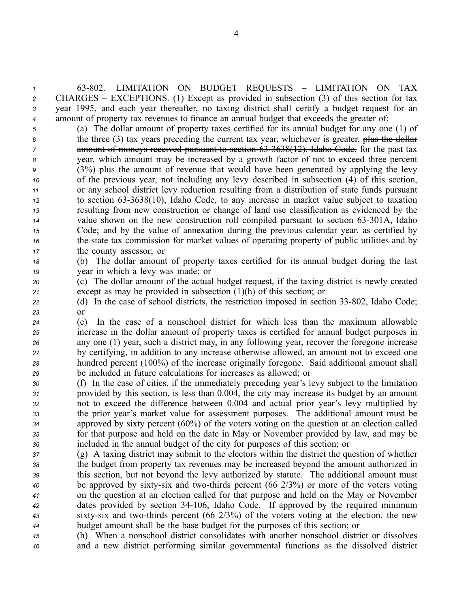63802. LIMITATION ON BUDGET REQUESTS – LIMITATION ON TAX CHARGES – EXCEPTIONS. (1) Except as provided in subsection (3) of this section for tax year 1995, and each year thereafter, no taxing district shall certify <sup>a</sup> budget reques<sup>t</sup> for an amount of property tax revenues to finance an annual budget that exceeds the greater of:

 (a) The dollar amount of property taxes certified for its annual budget for any one (1) of the three (3) tax years preceding the current tax year, whichever is greater, plus the dollar amount of moneys received pursuan<sup>t</sup> to section 633638(12), Idaho Code, for the pas<sup>t</sup> tax year, which amount may be increased by <sup>a</sup> growth factor of not to exceed three percen<sup>t</sup> (3%) plus the amount of revenue that would have been generated by applying the levy of the previous year, not including any levy described in subsection (4) of this section, or any school district levy reduction resulting from <sup>a</sup> distribution of state funds pursuan<sup>t</sup> to section 633638(10), Idaho Code, to any increase in market value subject to taxation resulting from new construction or change of land use classification as evidenced by the value shown on the new construction roll compiled pursuan<sup>t</sup> to section 63301A, Idaho Code; and by the value of annexation during the previous calendar year, as certified by the state tax commission for market values of operating property of public utilities and by the county assessor; or

*<sup>18</sup>* (b) The dollar amount of property taxes certified for its annual budget during the last *<sup>19</sup>* year in which <sup>a</sup> levy was made; or

*<sup>20</sup>* (c) The dollar amount of the actual budget request, if the taxing district is newly created *<sup>21</sup>* excep<sup>t</sup> as may be provided in subsection (1)(h) of this section; or

22 (d) In the case of school districts, the restriction imposed in section 33-802, Idaho Code; *23* or

 (e) In the case of <sup>a</sup> nonschool district for which less than the maximum allowable increase in the dollar amount of property taxes is certified for annual budget purposes in any one (1) year, such <sup>a</sup> district may, in any following year, recover the foregone increase by certifying, in addition to any increase otherwise allowed, an amount not to exceed one hundred percen<sup>t</sup> (100%) of the increase originally foregone. Said additional amount shall be included in future calculations for increases as allowed; or

- *<sup>30</sup>* (f) In the case of cities, if the immediately preceding year's levy subject to the limitation *<sup>31</sup>* provided by this section, is less than 0.004, the city may increase its budget by an amount *<sup>32</sup>* not to exceed the difference between 0.004 and actual prior year's levy multiplied by *<sup>33</sup>* the prior year's market value for assessment purposes. The additional amount must be *<sup>34</sup>* approved by sixty percen<sup>t</sup> (60%) of the voters voting on the question at an election called *<sup>35</sup>* for that purpose and held on the date in May or November provided by law, and may be *<sup>36</sup>* included in the annual budget of the city for purposes of this section; or
- *<sup>37</sup>* (g) A taxing district may submit to the electors within the district the question of whether *<sup>38</sup>* the budget from property tax revenues may be increased beyond the amount authorized in *<sup>39</sup>* this section, but not beyond the levy authorized by statute. The additional amount must *40* be approved by sixty-six and two-thirds percent (66 2/3%) or more of the voters voting *<sup>41</sup>* on the question at an election called for that purpose and held on the May or November *<sup>42</sup>* dates provided by section 34106, Idaho Code. If approved by the required minimum 43 sixty-six and two-thirds percent (66 2/3%) of the voters voting at the election, the new *<sup>44</sup>* budget amount shall be the base budget for the purposes of this section; or

*<sup>45</sup>* (h) When <sup>a</sup> nonschool district consolidates with another nonschool district or dissolves *<sup>46</sup>* and <sup>a</sup> new district performing similar governmental functions as the dissolved district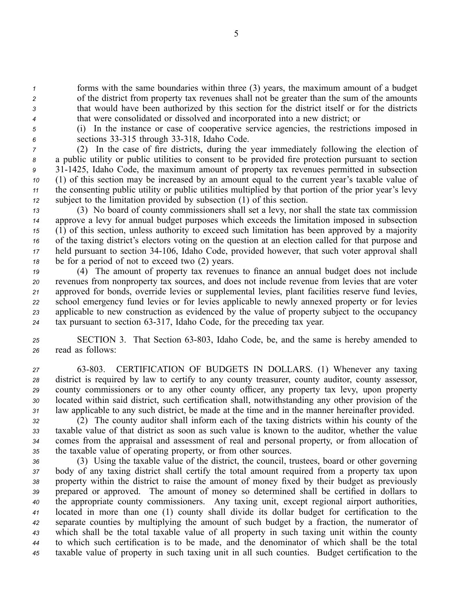forms with the same boundaries within three (3) years, the maximum amount of <sup>a</sup> budget of the district from property tax revenues shall not be greater than the sum of the amounts that would have been authorized by this section for the district itself or for the districts that were consolidated or dissolved and incorporated into <sup>a</sup> new district; or

*<sup>5</sup>* (i) In the instance or case of cooperative service agencies, the restrictions imposed in 6 sections 33-315 through 33-318, Idaho Code.

 (2) In the case of fire districts, during the year immediately following the election of <sup>a</sup> public utility or public utilities to consent to be provided fire protection pursuan<sup>t</sup> to section 311425, Idaho Code, the maximum amount of property tax revenues permitted in subsection (1) of this section may be increased by an amount equal to the current year's taxable value of the consenting public utility or public utilities multiplied by that portion of the prior year's levy subject to the limitation provided by subsection (1) of this section.

 (3) No board of county commissioners shall set <sup>a</sup> levy, nor shall the state tax commission approve <sup>a</sup> levy for annual budget purposes which exceeds the limitation imposed in subsection (1) of this section, unless authority to exceed such limitation has been approved by <sup>a</sup> majority of the taxing district's electors voting on the question at an election called for that purpose and held pursuan<sup>t</sup> to section 34106, Idaho Code, provided however, that such voter approval shall be for <sup>a</sup> period of not to exceed two (2) years.

 (4) The amount of property tax revenues to finance an annual budget does not include revenues from nonproperty tax sources, and does not include revenue from levies that are voter approved for bonds, override levies or supplemental levies, plant facilities reserve fund levies, school emergency fund levies or for levies applicable to newly annexed property or for levies applicable to new construction as evidenced by the value of property subject to the occupancy tax pursuan<sup>t</sup> to section 63317, Idaho Code, for the preceding tax year.

25 **SECTION 3.** That Section 63-803, Idaho Code, be, and the same is hereby amended to *<sup>26</sup>* read as follows:

 63803. CERTIFICATION OF BUDGETS IN DOLLARS. (1) Whenever any taxing district is required by law to certify to any county treasurer, county auditor, county assessor, county commissioners or to any other county officer, any property tax levy, upon property located within said district, such certification shall, notwithstanding any other provision of the law applicable to any such district, be made at the time and in the manner hereinafter provided.

 (2) The county auditor shall inform each of the taxing districts within his county of the taxable value of that district as soon as such value is known to the auditor, whether the value comes from the appraisal and assessment of real and personal property, or from allocation of the taxable value of operating property, or from other sources.

 (3) Using the taxable value of the district, the council, trustees, board or other governing body of any taxing district shall certify the total amount required from <sup>a</sup> property tax upon property within the district to raise the amount of money fixed by their budget as previously prepared or approved. The amount of money so determined shall be certified in dollars to the appropriate county commissioners. Any taxing unit, excep<sup>t</sup> regional airport authorities, located in more than one (1) county shall divide its dollar budget for certification to the separate counties by multiplying the amount of such budget by <sup>a</sup> fraction, the numerator of which shall be the total taxable value of all property in such taxing unit within the county to which such certification is to be made, and the denominator of which shall be the total taxable value of property in such taxing unit in all such counties. Budget certification to the